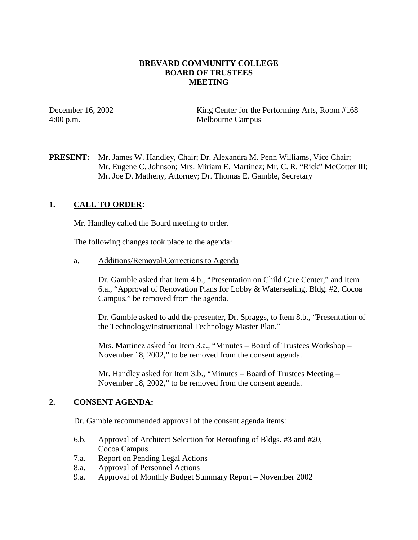### **BREVARD COMMUNITY COLLEGE BOARD OF TRUSTEES MEETING**

December 16, 2002 King Center for the Performing Arts, Room #168 4:00 p.m. Melbourne Campus

**PRESENT:** Mr. James W. Handley, Chair; Dr. Alexandra M. Penn Williams, Vice Chair; Mr. Eugene C. Johnson; Mrs. Miriam E. Martinez; Mr. C. R. "Rick" McCotter III; Mr. Joe D. Matheny, Attorney; Dr. Thomas E. Gamble, Secretary

## **1. CALL TO ORDER:**

Mr. Handley called the Board meeting to order.

The following changes took place to the agenda:

a. Additions/Removal/Corrections to Agenda

Dr. Gamble asked that Item 4.b., "Presentation on Child Care Center," and Item 6.a., "Approval of Renovation Plans for Lobby & Watersealing, Bldg. #2, Cocoa Campus," be removed from the agenda.

Dr. Gamble asked to add the presenter, Dr. Spraggs, to Item 8.b., "Presentation of the Technology/Instructional Technology Master Plan."

Mrs. Martinez asked for Item 3.a., "Minutes – Board of Trustees Workshop – November 18, 2002," to be removed from the consent agenda.

Mr. Handley asked for Item 3.b., "Minutes – Board of Trustees Meeting – November 18, 2002," to be removed from the consent agenda.

### **2. CONSENT AGENDA:**

Dr. Gamble recommended approval of the consent agenda items:

- 6.b. Approval of Architect Selection for Reroofing of Bldgs. #3 and #20, Cocoa Campus
- 7.a. Report on Pending Legal Actions
- 8.a. Approval of Personnel Actions
- 9.a. Approval of Monthly Budget Summary Report November 2002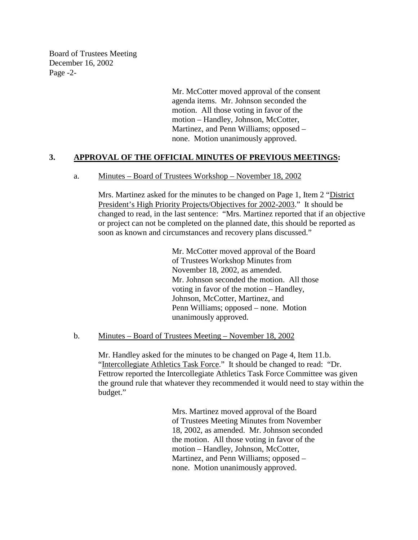Board of Trustees Meeting December 16, 2002 Page -2-

> Mr. McCotter moved approval of the consent agenda items. Mr. Johnson seconded the motion. All those voting in favor of the motion – Handley, Johnson, McCotter, Martinez, and Penn Williams; opposed – none. Motion unanimously approved.

### **3. APPROVAL OF THE OFFICIAL MINUTES OF PREVIOUS MEETINGS:**

#### a. Minutes – Board of Trustees Workshop – November 18, 2002

Mrs. Martinez asked for the minutes to be changed on Page 1, Item 2 "District President's High Priority Projects/Objectives for 2002-2003." It should be changed to read, in the last sentence: "Mrs. Martinez reported that if an objective or project can not be completed on the planned date, this should be reported as soon as known and circumstances and recovery plans discussed."

> Mr. McCotter moved approval of the Board of Trustees Workshop Minutes from November 18, 2002, as amended. Mr. Johnson seconded the motion. All those voting in favor of the motion – Handley, Johnson, McCotter, Martinez, and Penn Williams; opposed – none. Motion unanimously approved.

#### b. Minutes – Board of Trustees Meeting – November 18, 2002

Mr. Handley asked for the minutes to be changed on Page 4, Item 11.b. "Intercollegiate Athletics Task Force." It should be changed to read: "Dr. Fettrow reported the Intercollegiate Athletics Task Force Committee was given the ground rule that whatever they recommended it would need to stay within the budget."

> Mrs. Martinez moved approval of the Board of Trustees Meeting Minutes from November 18, 2002, as amended. Mr. Johnson seconded the motion. All those voting in favor of the motion – Handley, Johnson, McCotter, Martinez, and Penn Williams; opposed – none. Motion unanimously approved.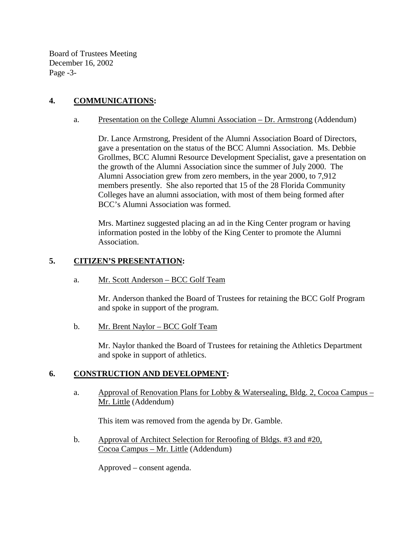Board of Trustees Meeting December 16, 2002 Page -3-

# **4. COMMUNICATIONS:**

a. Presentation on the College Alumni Association – Dr. Armstrong (Addendum)

Dr. Lance Armstrong, President of the Alumni Association Board of Directors, gave a presentation on the status of the BCC Alumni Association. Ms. Debbie Grollmes, BCC Alumni Resource Development Specialist, gave a presentation on the growth of the Alumni Association since the summer of July 2000. The Alumni Association grew from zero members, in the year 2000, to 7,912 members presently. She also reported that 15 of the 28 Florida Community Colleges have an alumni association, with most of them being formed after BCC's Alumni Association was formed.

Mrs. Martinez suggested placing an ad in the King Center program or having information posted in the lobby of the King Center to promote the Alumni Association.

### **5. CITIZEN'S PRESENTATION:**

a. Mr. Scott Anderson – BCC Golf Team

Mr. Anderson thanked the Board of Trustees for retaining the BCC Golf Program and spoke in support of the program.

b. Mr. Brent Naylor – BCC Golf Team

Mr. Naylor thanked the Board of Trustees for retaining the Athletics Department and spoke in support of athletics.

## **6. CONSTRUCTION AND DEVELOPMENT:**

a. Approval of Renovation Plans for Lobby & Watersealing, Bldg. 2, Cocoa Campus – Mr. Little (Addendum)

This item was removed from the agenda by Dr. Gamble.

b. Approval of Architect Selection for Reroofing of Bldgs. #3 and #20, Cocoa Campus – Mr. Little (Addendum)

Approved – consent agenda.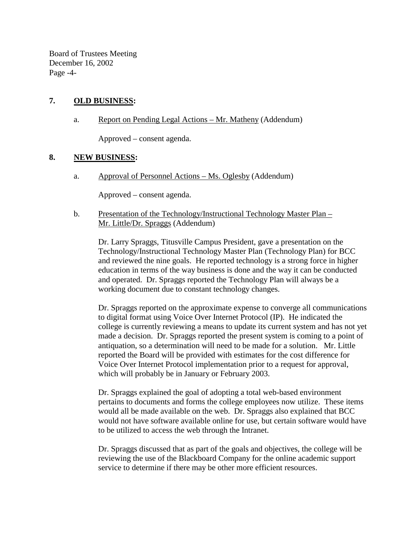Board of Trustees Meeting December 16, 2002 Page -4-

### **7. OLD BUSINESS:**

a. Report on Pending Legal Actions – Mr. Matheny (Addendum)

Approved – consent agenda.

### **8. NEW BUSINESS:**

a. Approval of Personnel Actions – Ms. Oglesby (Addendum)

Approved – consent agenda.

b. Presentation of the Technology/Instructional Technology Master Plan – Mr. Little/Dr. Spraggs (Addendum)

Dr. Larry Spraggs, Titusville Campus President, gave a presentation on the Technology/Instructional Technology Master Plan (Technology Plan) for BCC and reviewed the nine goals. He reported technology is a strong force in higher education in terms of the way business is done and the way it can be conducted and operated. Dr. Spraggs reported the Technology Plan will always be a working document due to constant technology changes.

Dr. Spraggs reported on the approximate expense to converge all communications to digital format using Voice Over Internet Protocol (IP). He indicated the college is currently reviewing a means to update its current system and has not yet made a decision. Dr. Spraggs reported the present system is coming to a point of antiquation, so a determination will need to be made for a solution. Mr. Little reported the Board will be provided with estimates for the cost difference for Voice Over Internet Protocol implementation prior to a request for approval, which will probably be in January or February 2003.

Dr. Spraggs explained the goal of adopting a total web-based environment pertains to documents and forms the college employees now utilize. These items would all be made available on the web. Dr. Spraggs also explained that BCC would not have software available online for use, but certain software would have to be utilized to access the web through the Intranet.

Dr. Spraggs discussed that as part of the goals and objectives, the college will be reviewing the use of the Blackboard Company for the online academic support service to determine if there may be other more efficient resources.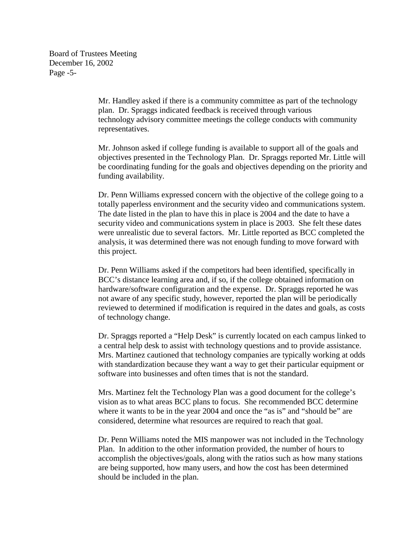Board of Trustees Meeting December 16, 2002 Page -5-

> Mr. Handley asked if there is a community committee as part of the technology plan. Dr. Spraggs indicated feedback is received through various technology advisory committee meetings the college conducts with community representatives.

Mr. Johnson asked if college funding is available to support all of the goals and objectives presented in the Technology Plan. Dr. Spraggs reported Mr. Little will be coordinating funding for the goals and objectives depending on the priority and funding availability.

Dr. Penn Williams expressed concern with the objective of the college going to a totally paperless environment and the security video and communications system. The date listed in the plan to have this in place is 2004 and the date to have a security video and communications system in place is 2003. She felt these dates were unrealistic due to several factors. Mr. Little reported as BCC completed the analysis, it was determined there was not enough funding to move forward with this project.

Dr. Penn Williams asked if the competitors had been identified, specifically in BCC's distance learning area and, if so, if the college obtained information on hardware/software configuration and the expense. Dr. Spraggs reported he was not aware of any specific study, however, reported the plan will be periodically reviewed to determined if modification is required in the dates and goals, as costs of technology change.

Dr. Spraggs reported a "Help Desk" is currently located on each campus linked to a central help desk to assist with technology questions and to provide assistance. Mrs. Martinez cautioned that technology companies are typically working at odds with standardization because they want a way to get their particular equipment or software into businesses and often times that is not the standard.

Mrs. Martinez felt the Technology Plan was a good document for the college's vision as to what areas BCC plans to focus. She recommended BCC determine where it wants to be in the year 2004 and once the "as is" and "should be" are considered, determine what resources are required to reach that goal.

Dr. Penn Williams noted the MIS manpower was not included in the Technology Plan. In addition to the other information provided, the number of hours to accomplish the objectives/goals, along with the ratios such as how many stations are being supported, how many users, and how the cost has been determined should be included in the plan.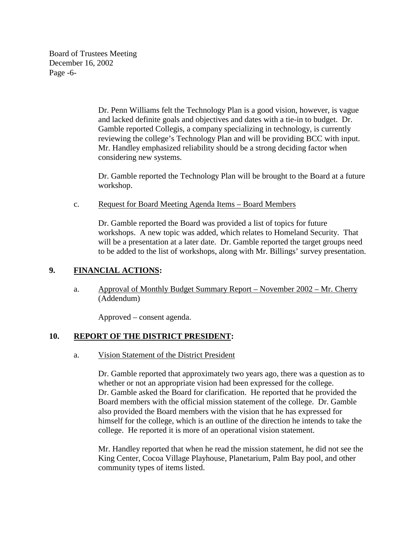Board of Trustees Meeting December 16, 2002 Page -6-

> Dr. Penn Williams felt the Technology Plan is a good vision, however, is vague and lacked definite goals and objectives and dates with a tie-in to budget. Dr. Gamble reported Collegis, a company specializing in technology, is currently reviewing the college's Technology Plan and will be providing BCC with input. Mr. Handley emphasized reliability should be a strong deciding factor when considering new systems.

Dr. Gamble reported the Technology Plan will be brought to the Board at a future workshop.

### c. Request for Board Meeting Agenda Items – Board Members

Dr. Gamble reported the Board was provided a list of topics for future workshops. A new topic was added, which relates to Homeland Security. That will be a presentation at a later date. Dr. Gamble reported the target groups need to be added to the list of workshops, along with Mr. Billings' survey presentation.

### **9. FINANCIAL ACTIONS:**

a. Approval of Monthly Budget Summary Report – November 2002 – Mr. Cherry (Addendum)

Approved – consent agenda.

## **10. REPORT OF THE DISTRICT PRESIDENT:**

### a. Vision Statement of the District President

Dr. Gamble reported that approximately two years ago, there was a question as to whether or not an appropriate vision had been expressed for the college. Dr. Gamble asked the Board for clarification. He reported that he provided the Board members with the official mission statement of the college. Dr. Gamble also provided the Board members with the vision that he has expressed for himself for the college, which is an outline of the direction he intends to take the college. He reported it is more of an operational vision statement.

Mr. Handley reported that when he read the mission statement, he did not see the King Center, Cocoa Village Playhouse, Planetarium, Palm Bay pool, and other community types of items listed.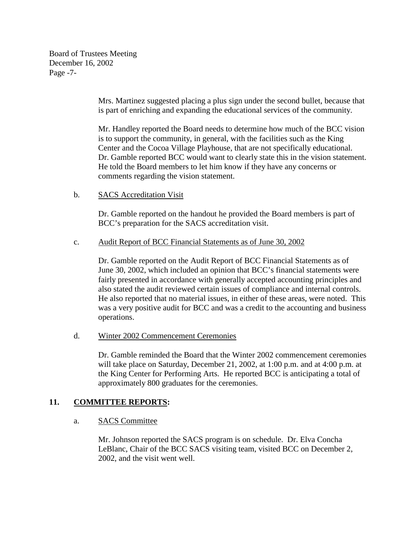Board of Trustees Meeting December 16, 2002 Page -7-

> Mrs. Martinez suggested placing a plus sign under the second bullet, because that is part of enriching and expanding the educational services of the community.

> Mr. Handley reported the Board needs to determine how much of the BCC vision is to support the community, in general, with the facilities such as the King Center and the Cocoa Village Playhouse, that are not specifically educational. Dr. Gamble reported BCC would want to clearly state this in the vision statement. He told the Board members to let him know if they have any concerns or comments regarding the vision statement.

### b. SACS Accreditation Visit

Dr. Gamble reported on the handout he provided the Board members is part of BCC's preparation for the SACS accreditation visit.

### c. Audit Report of BCC Financial Statements as of June 30, 2002

 Dr. Gamble reported on the Audit Report of BCC Financial Statements as of June 30, 2002, which included an opinion that BCC's financial statements were fairly presented in accordance with generally accepted accounting principles and also stated the audit reviewed certain issues of compliance and internal controls. He also reported that no material issues, in either of these areas, were noted. This was a very positive audit for BCC and was a credit to the accounting and business operations.

### d. Winter 2002 Commencement Ceremonies

Dr. Gamble reminded the Board that the Winter 2002 commencement ceremonies will take place on Saturday, December 21, 2002, at 1:00 p.m. and at 4:00 p.m. at the King Center for Performing Arts. He reported BCC is anticipating a total of approximately 800 graduates for the ceremonies.

## **11. COMMITTEE REPORTS:**

a. SACS Committee

Mr. Johnson reported the SACS program is on schedule. Dr. Elva Concha LeBlanc, Chair of the BCC SACS visiting team, visited BCC on December 2, 2002, and the visit went well.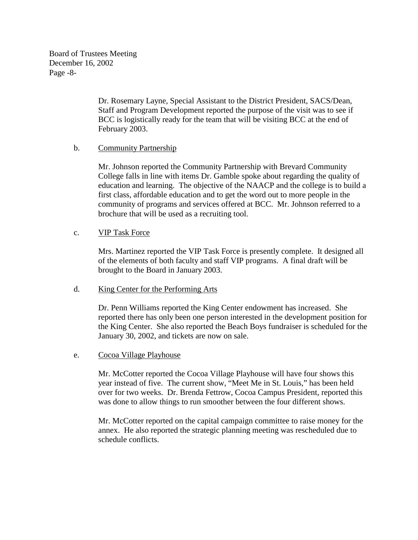Board of Trustees Meeting December 16, 2002 Page -8-

> Dr. Rosemary Layne, Special Assistant to the District President, SACS/Dean, Staff and Program Development reported the purpose of the visit was to see if BCC is logistically ready for the team that will be visiting BCC at the end of February 2003.

### b. Community Partnership

Mr. Johnson reported the Community Partnership with Brevard Community College falls in line with items Dr. Gamble spoke about regarding the quality of education and learning. The objective of the NAACP and the college is to build a first class, affordable education and to get the word out to more people in the community of programs and services offered at BCC. Mr. Johnson referred to a brochure that will be used as a recruiting tool.

#### c. VIP Task Force

Mrs. Martinez reported the VIP Task Force is presently complete. It designed all of the elements of both faculty and staff VIP programs. A final draft will be brought to the Board in January 2003.

#### d. King Center for the Performing Arts

Dr. Penn Williams reported the King Center endowment has increased. She reported there has only been one person interested in the development position for the King Center. She also reported the Beach Boys fundraiser is scheduled for the January 30, 2002, and tickets are now on sale.

#### e. Cocoa Village Playhouse

Mr. McCotter reported the Cocoa Village Playhouse will have four shows this year instead of five. The current show, "Meet Me in St. Louis," has been held over for two weeks. Dr. Brenda Fettrow, Cocoa Campus President, reported this was done to allow things to run smoother between the four different shows.

Mr. McCotter reported on the capital campaign committee to raise money for the annex. He also reported the strategic planning meeting was rescheduled due to schedule conflicts.